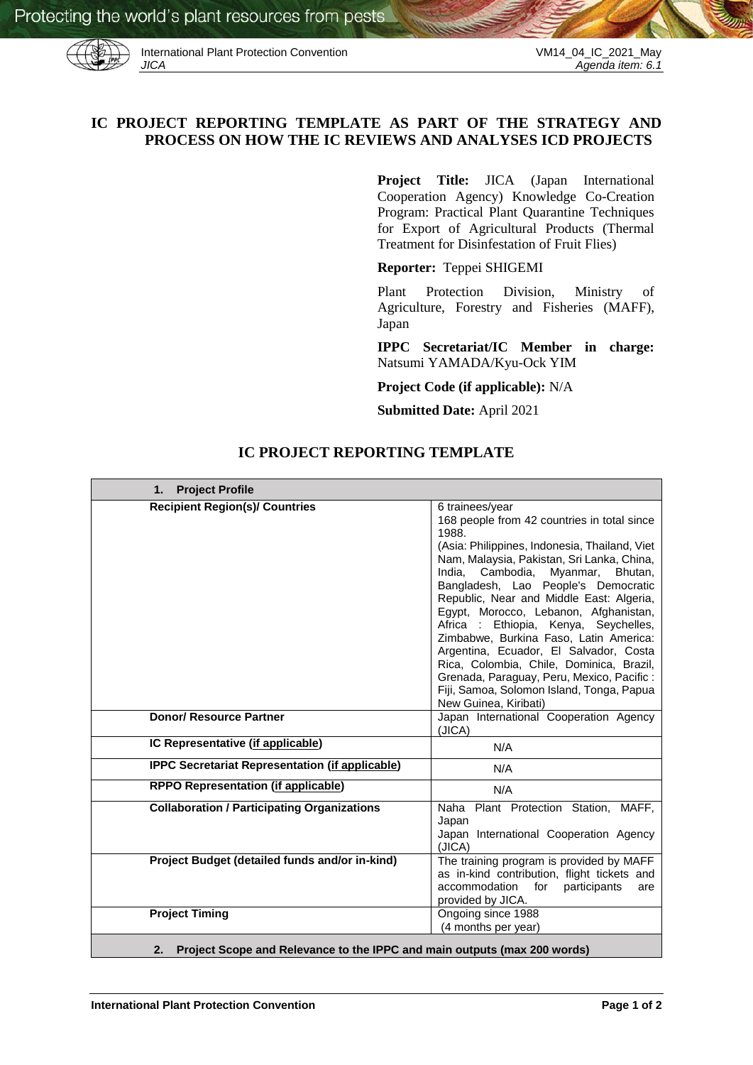

International Plant Protection Convention VM14\_04\_IC\_2021\_May<br>JICA Agenda item: 6.1

# **IC PROJECT REPORTING TEMPLATE AS PART OF THE STRATEGY AND PROCESS ON HOW THE IC REVIEWS AND ANALYSES ICD PROJECTS**

**Project Title:** JICA (Japan International Cooperation Agency) Knowledge Co-Creation Program: Practical Plant Quarantine Techniques for Export of Agricultural Products (Thermal Treatment for Disinfestation of Fruit Flies)

**Reporter:** Teppei SHIGEMI

Plant Protection Division, Ministry of Agriculture, Forestry and Fisheries (MAFF), Japan

**IPPC Secretariat/IC Member in charge:**  Natsumi YAMADA/Kyu-Ock YIM

**Project Code (if applicable):** N/A

**Submitted Date:** April 2021

| <b>Project Profile</b><br>1.                           |                                                                                                                                                                                                                                                                                                                                                                                                                                                                                                                                                                                                                                                 |
|--------------------------------------------------------|-------------------------------------------------------------------------------------------------------------------------------------------------------------------------------------------------------------------------------------------------------------------------------------------------------------------------------------------------------------------------------------------------------------------------------------------------------------------------------------------------------------------------------------------------------------------------------------------------------------------------------------------------|
| <b>Recipient Region(s)/ Countries</b>                  | 6 trainees/year<br>168 people from 42 countries in total since<br>1988.<br>(Asia: Philippines, Indonesia, Thailand, Viet<br>Nam, Malaysia, Pakistan, Sri Lanka, China,<br>Myanmar,<br>India.<br>Cambodia.<br>Bhutan,<br>Bangladesh, Lao People's Democratic<br>Republic, Near and Middle East: Algeria,<br>Egypt, Morocco, Lebanon, Afghanistan,<br>Ethiopia, Kenya, Seychelles,<br>Africa :<br>Zimbabwe, Burkina Faso, Latin America:<br>Argentina, Ecuador, El Salvador, Costa<br>Rica, Colombia, Chile, Dominica, Brazil,<br>Grenada, Paraguay, Peru, Mexico, Pacific:<br>Fiji, Samoa, Solomon Island, Tonga, Papua<br>New Guinea, Kiribati) |
| <b>Donor/ Resource Partner</b>                         | Japan International Cooperation Agency<br>(JICA)                                                                                                                                                                                                                                                                                                                                                                                                                                                                                                                                                                                                |
| IC Representative (if applicable)                      | N/A                                                                                                                                                                                                                                                                                                                                                                                                                                                                                                                                                                                                                                             |
| <b>IPPC Secretariat Representation (if applicable)</b> | N/A                                                                                                                                                                                                                                                                                                                                                                                                                                                                                                                                                                                                                                             |
| <b>RPPO Representation (if applicable)</b>             | N/A                                                                                                                                                                                                                                                                                                                                                                                                                                                                                                                                                                                                                                             |
| <b>Collaboration / Participating Organizations</b>     | Naha Plant Protection Station, MAFF,<br>Japan<br>Japan International Cooperation Agency<br>(JICA)                                                                                                                                                                                                                                                                                                                                                                                                                                                                                                                                               |
| Project Budget (detailed funds and/or in-kind)         | The training program is provided by MAFF<br>as in-kind contribution, flight tickets and<br>accommodation<br>for<br>participants<br>are<br>provided by JICA.                                                                                                                                                                                                                                                                                                                                                                                                                                                                                     |
| <b>Project Timing</b>                                  | Ongoing since 1988<br>(4 months per year)                                                                                                                                                                                                                                                                                                                                                                                                                                                                                                                                                                                                       |

## **IC PROJECT REPORTING TEMPLATE**